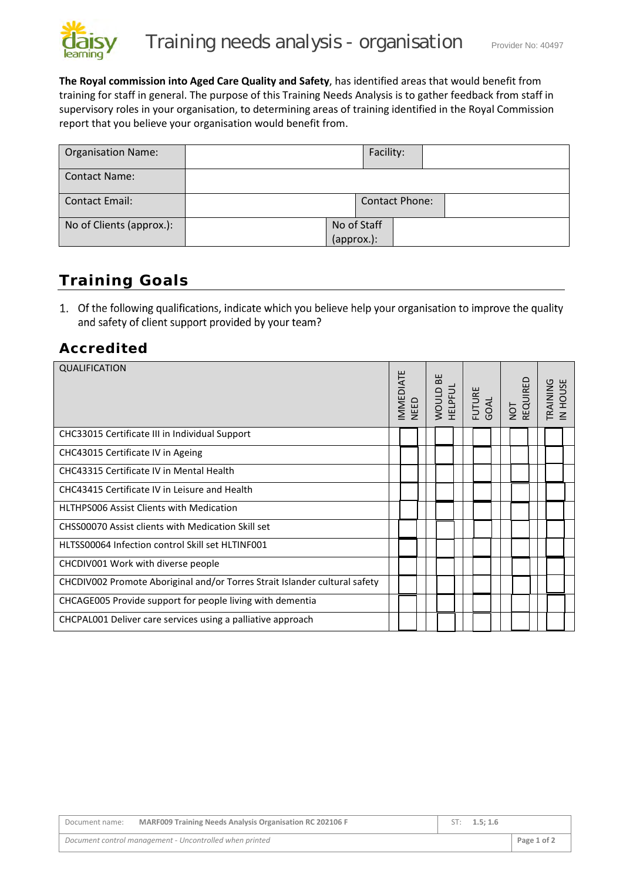

**The Royal commission into Aged Care Quality and Safety**, has identified areas that would benefit from training for staff in general. The purpose of this Training Needs Analysis is to gather feedback from staff in supervisory roles in your organisation, to determining areas of training identified in the Royal Commission report that you believe your organisation would benefit from.

| <b>Organisation Name:</b> |                           | Facility: |                       |  |
|---------------------------|---------------------------|-----------|-----------------------|--|
| <b>Contact Name:</b>      |                           |           |                       |  |
| <b>Contact Email:</b>     |                           |           | <b>Contact Phone:</b> |  |
| No of Clients (approx.):  | No of Staff<br>(approx.): |           |                       |  |

## **Training Goals**

1. Of the following qualifications, indicate which you believe help your organisation to improve the quality and safety of client support provided by your team?

## **Accredited**

| QUALIFICATION                                                              | MMEDIATE<br><b>NEED</b> |  | BE<br>HELPFUL<br><b>WOULD</b> |  |  |  |  |  |  |  | FUTURE<br>GOAL<br>NOT<br>REQUIRED |  | TRAINING<br>IN HOUSE |
|----------------------------------------------------------------------------|-------------------------|--|-------------------------------|--|--|--|--|--|--|--|-----------------------------------|--|----------------------|
| CHC33015 Certificate III in Individual Support                             |                         |  |                               |  |  |  |  |  |  |  |                                   |  |                      |
| CHC43015 Certificate IV in Ageing                                          |                         |  |                               |  |  |  |  |  |  |  |                                   |  |                      |
| CHC43315 Certificate IV in Mental Health                                   |                         |  |                               |  |  |  |  |  |  |  |                                   |  |                      |
| CHC43415 Certificate IV in Leisure and Health                              |                         |  |                               |  |  |  |  |  |  |  |                                   |  |                      |
| <b>HLTHPS006 Assist Clients with Medication</b>                            |                         |  |                               |  |  |  |  |  |  |  |                                   |  |                      |
| CHSS00070 Assist clients with Medication Skill set                         |                         |  |                               |  |  |  |  |  |  |  |                                   |  |                      |
| HLTSS00064 Infection control Skill set HLTINF001                           |                         |  |                               |  |  |  |  |  |  |  |                                   |  |                      |
| CHCDIV001 Work with diverse people                                         |                         |  |                               |  |  |  |  |  |  |  |                                   |  |                      |
| CHCDIV002 Promote Aboriginal and/or Torres Strait Islander cultural safety |                         |  |                               |  |  |  |  |  |  |  |                                   |  |                      |
| CHCAGE005 Provide support for people living with dementia                  |                         |  |                               |  |  |  |  |  |  |  |                                   |  |                      |
| CHCPAL001 Deliver care services using a palliative approach                |                         |  |                               |  |  |  |  |  |  |  |                                   |  |                      |

| Document name: | <b>MARF009 Training Needs Analysis Organisation RC 202106 F</b> | ST: 1.5: 1.6 |             |
|----------------|-----------------------------------------------------------------|--------------|-------------|
|                | Document control management - Uncontrolled when printed         |              | Page 1 of 2 |